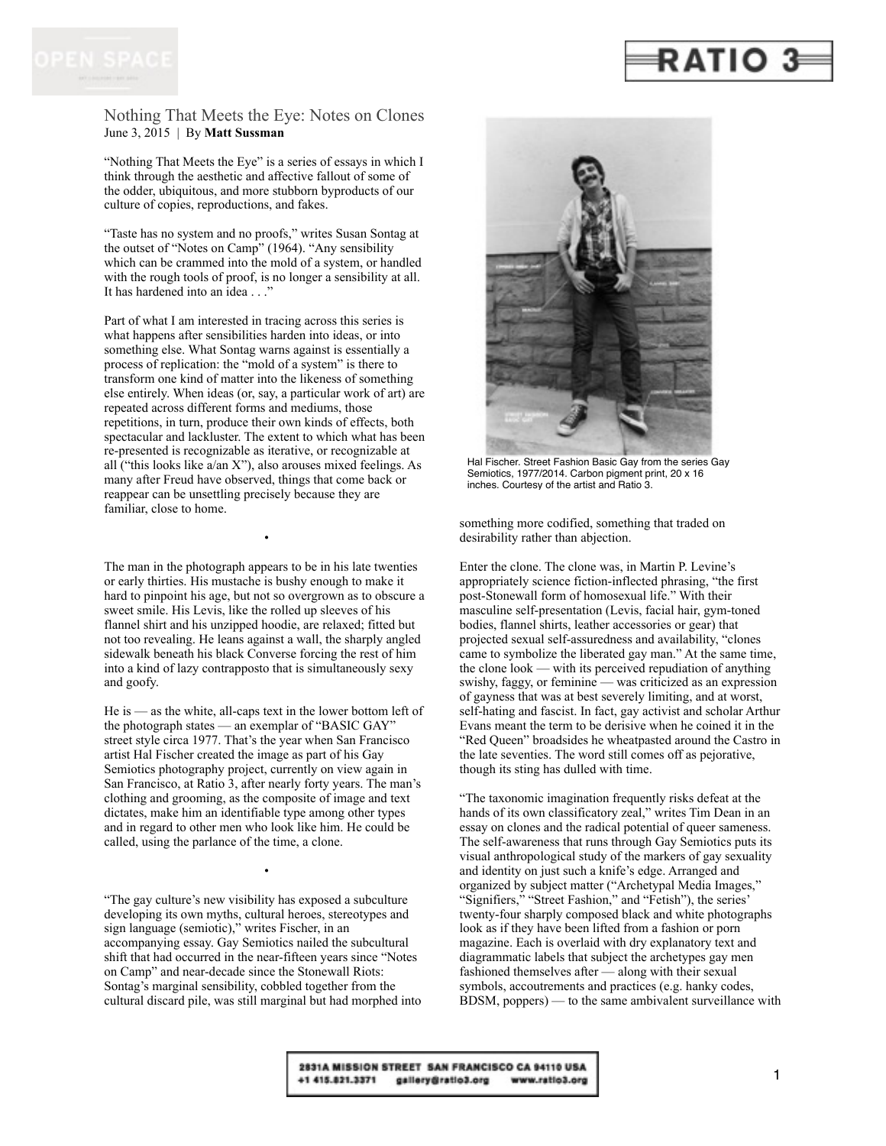

Nothing That Meets the Eye: Notes on Clones June 3, 2015 | By **Matt Sussman**

"Nothing That Meets the Eye" is a series of essays in which I think through the aesthetic and affective fallout of some of the odder, ubiquitous, and more stubborn byproducts of our culture of copies, reproductions, and fakes.

"Taste has no system and no proofs," writes Susan Sontag at the outset of "Notes on Camp" (1964). "Any sensibility which can be crammed into the mold of a system, or handled with the rough tools of proof, is no longer a sensibility at all. It has hardened into an idea . . ."

Part of what I am interested in tracing across this series is what happens after sensibilities harden into ideas, or into something else. What Sontag warns against is essentially a process of replication: the "mold of a system" is there to transform one kind of matter into the likeness of something else entirely. When ideas (or, say, a particular work of art) are repeated across different forms and mediums, those repetitions, in turn, produce their own kinds of effects, both spectacular and lackluster. The extent to which what has been re-presented is recognizable as iterative, or recognizable at all ("this looks like a/an X"), also arouses mixed feelings. As many after Freud have observed, things that come back or reappear can be unsettling precisely because they are familiar, close to home.

The man in the photograph appears to be in his late twenties or early thirties. His mustache is bushy enough to make it hard to pinpoint his age, but not so overgrown as to obscure a sweet smile. His Levis, like the rolled up sleeves of his flannel shirt and his unzipped hoodie, are relaxed; fitted but not too revealing. He leans against a wall, the sharply angled sidewalk beneath his black Converse forcing the rest of him into a kind of lazy contrapposto that is simultaneously sexy and goofy.

•

He is — as the white, all-caps text in the lower bottom left of the photograph states — an exemplar of "BASIC GAY" street style circa 1977. That's the year when San Francisco artist Hal Fischer created the image as part of his Gay Semiotics photography project, currently on view again in San Francisco, at Ratio 3, after nearly forty years. The man's clothing and grooming, as the composite of image and text dictates, make him an identifiable type among other types and in regard to other men who look like him. He could be called, using the parlance of the time, a clone.

"The gay culture's new visibility has exposed a subculture developing its own myths, cultural heroes, stereotypes and sign language (semiotic)," writes Fischer, in an accompanying essay. Gay Semiotics nailed the subcultural shift that had occurred in the near-fifteen years since "Notes on Camp" and near-decade since the Stonewall Riots: Sontag's marginal sensibility, cobbled together from the cultural discard pile, was still marginal but had morphed into

•



Hal Fischer. Street Fashion Basic Gay from the series Gay Semiotics, 1977/2014. Carbon pigment print, 20 x 16 inches. Courtesy of the artist and Ratio 3.

something more codified, something that traded on desirability rather than abjection.

Enter the clone. The clone was, in Martin P. Levine's appropriately science fiction-inflected phrasing, "the first post-Stonewall form of homosexual life." With their masculine self-presentation (Levis, facial hair, gym-toned bodies, flannel shirts, leather accessories or gear) that projected sexual self-assuredness and availability, "clones came to symbolize the liberated gay man." At the same time, the clone look — with its perceived repudiation of anything swishy, faggy, or feminine — was criticized as an expression of gayness that was at best severely limiting, and at worst, self-hating and fascist. In fact, gay activist and scholar Arthur Evans meant the term to be derisive when he coined it in the "Red Queen" broadsides he wheatpasted around the Castro in the late seventies. The word still comes off as pejorative, though its sting has dulled with time.

"The taxonomic imagination frequently risks defeat at the hands of its own classificatory zeal," writes Tim Dean in an essay on clones and the radical potential of queer sameness. The self-awareness that runs through Gay Semiotics puts its visual anthropological study of the markers of gay sexuality and identity on just such a knife's edge. Arranged and organized by subject matter ("Archetypal Media Images," "Signifiers," "Street Fashion," and "Fetish"), the series' twenty-four sharply composed black and white photographs look as if they have been lifted from a fashion or porn magazine. Each is overlaid with dry explanatory text and diagrammatic labels that subject the archetypes gay men fashioned themselves after — along with their sexual symbols, accoutrements and practices (e.g. hanky codes, BDSM, poppers) — to the same ambivalent surveillance with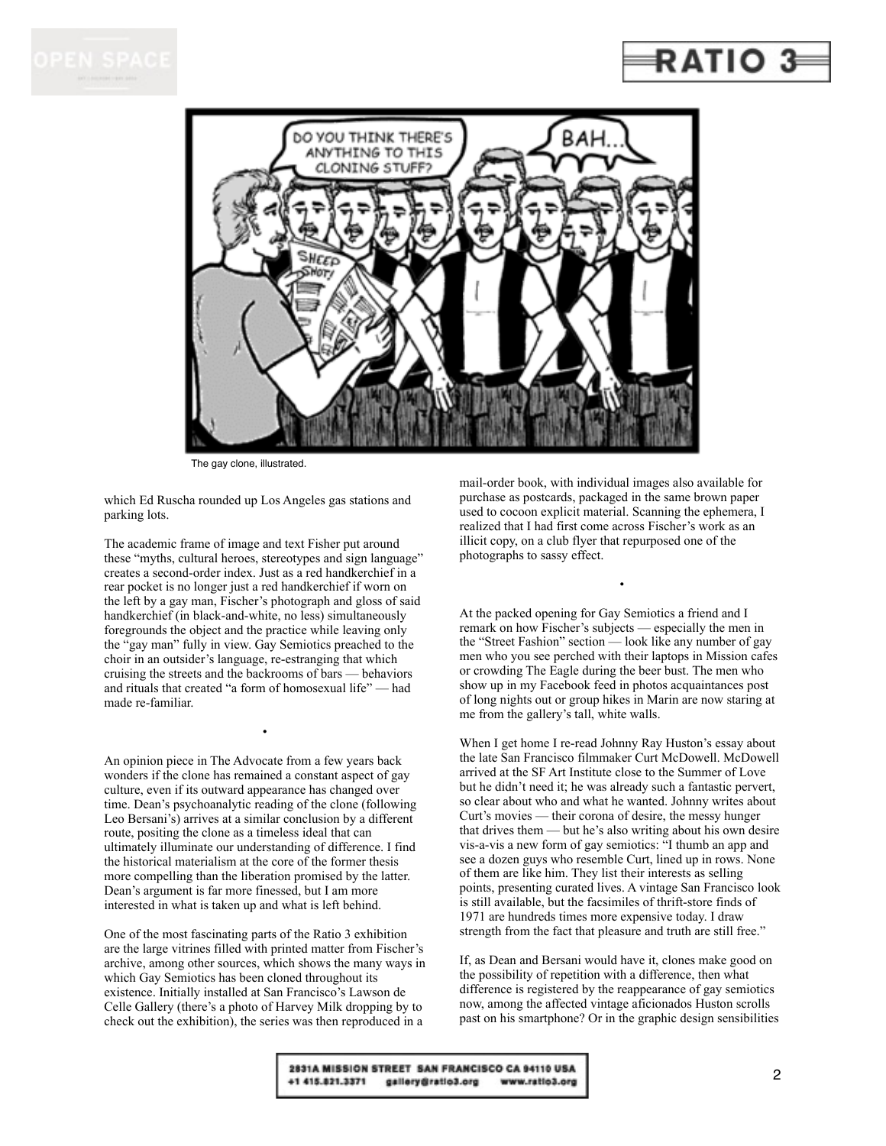

## RATIO



The gay clone, illustrated.

which Ed Ruscha rounded up Los Angeles gas stations and parking lots.

The academic frame of image and text Fisher put around these "myths, cultural heroes, stereotypes and sign language" creates a second-order index. Just as a red handkerchief in a rear pocket is no longer just a red handkerchief if worn on the left by a gay man, Fischer's photograph and gloss of said handkerchief (in black-and-white, no less) simultaneously foregrounds the object and the practice while leaving only the "gay man" fully in view. Gay Semiotics preached to the choir in an outsider's language, re-estranging that which cruising the streets and the backrooms of bars — behaviors and rituals that created "a form of homosexual life" — had made re-familiar.

•

An opinion piece in The Advocate from a few years back wonders if the clone has remained a constant aspect of gay culture, even if its outward appearance has changed over time. Dean's psychoanalytic reading of the clone (following Leo Bersani's) arrives at a similar conclusion by a different route, positing the clone as a timeless ideal that can ultimately illuminate our understanding of difference. I find the historical materialism at the core of the former thesis more compelling than the liberation promised by the latter. Dean's argument is far more finessed, but I am more interested in what is taken up and what is left behind.

One of the most fascinating parts of the Ratio 3 exhibition are the large vitrines filled with printed matter from Fischer's archive, among other sources, which shows the many ways in which Gay Semiotics has been cloned throughout its existence. Initially installed at San Francisco's Lawson de Celle Gallery (there's a photo of Harvey Milk dropping by to check out the exhibition), the series was then reproduced in a

mail-order book, with individual images also available for purchase as postcards, packaged in the same brown paper used to cocoon explicit material. Scanning the ephemera, I realized that I had first come across Fischer's work as an illicit copy, on a club flyer that repurposed one of the photographs to sassy effect.

At the packed opening for Gay Semiotics a friend and I remark on how Fischer's subjects — especially the men in the "Street Fashion" section — look like any number of gay men who you see perched with their laptops in Mission cafes or crowding The Eagle during the beer bust. The men who show up in my Facebook feed in photos acquaintances post of long nights out or group hikes in Marin are now staring at me from the gallery's tall, white walls.

•

When I get home I re-read Johnny Ray Huston's essay about the late San Francisco filmmaker Curt McDowell. McDowell arrived at the SF Art Institute close to the Summer of Love but he didn't need it; he was already such a fantastic pervert, so clear about who and what he wanted. Johnny writes about Curt's movies — their corona of desire, the messy hunger that drives them — but he's also writing about his own desire vis-a-vis a new form of gay semiotics: "I thumb an app and see a dozen guys who resemble Curt, lined up in rows. None of them are like him. They list their interests as selling points, presenting curated lives. A vintage San Francisco look is still available, but the facsimiles of thrift-store finds of 1971 are hundreds times more expensive today. I draw strength from the fact that pleasure and truth are still free."

If, as Dean and Bersani would have it, clones make good on the possibility of repetition with a difference, then what difference is registered by the reappearance of gay semiotics now, among the affected vintage aficionados Huston scrolls past on his smartphone? Or in the graphic design sensibilities